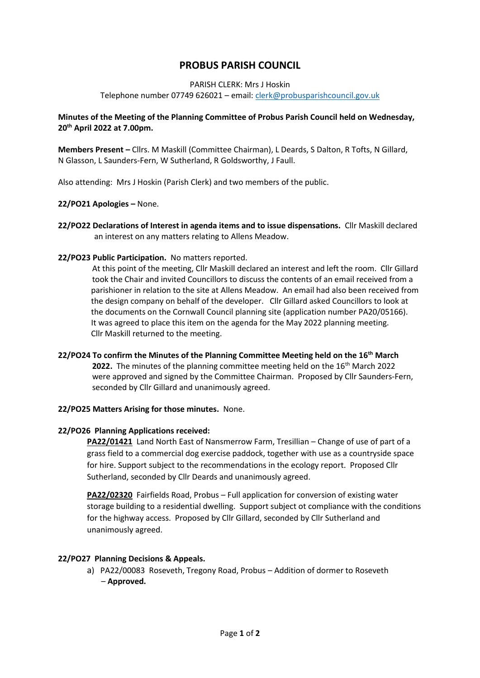# **PROBUS PARISH COUNCIL**

#### PARISH CLERK: Mrs J Hoskin

Telephone number 07749 626021 – email[: clerk@probusparishcouncil.gov.uk](mailto:clerk@probusparishcouncil.gov.uk)

## **Minutes of the Meeting of the Planning Committee of Probus Parish Council held on Wednesday, 20th April 2022 at 7.00pm.**

**Members Present –** Cllrs. M Maskill (Committee Chairman), L Deards, S Dalton, R Tofts, N Gillard, N Glasson, L Saunders-Fern, W Sutherland, R Goldsworthy, J Faull.

Also attending: Mrs J Hoskin (Parish Clerk) and two members of the public.

## **22/PO21 Apologies –** None.

**22/PO22 Declarations of Interest in agenda items and to issue dispensations.** Cllr Maskill declared an interest on any matters relating to Allens Meadow.

#### **22/PO23 Public Participation.** No matters reported.

 At this point of the meeting, Cllr Maskill declared an interest and left the room. Cllr Gillard took the Chair and invited Councillors to discuss the contents of an email received from a parishioner in relation to the site at Allens Meadow. An email had also been received from the design company on behalf of the developer. Cllr Gillard asked Councillors to look at the documents on the Cornwall Council planning site (application number PA20/05166). It was agreed to place this item on the agenda for the May 2022 planning meeting. Cllr Maskill returned to the meeting.

## **22/PO24 To confirm the Minutes of the Planning Committee Meeting held on the 16th March 2022.** The minutes of the planning committee meeting held on the 16<sup>th</sup> March 2022 were approved and signed by the Committee Chairman. Proposed by Cllr Saunders-Fern, seconded by Cllr Gillard and unanimously agreed.

## **22/PO25 Matters Arising for those minutes.** None.

#### **22/PO26 Planning Applications received:**

**PA22/01421** Land North East of Nansmerrow Farm, Tresillian – Change of use of part of a grass field to a commercial dog exercise paddock, together with use as a countryside space for hire. Support subject to the recommendations in the ecology report. Proposed Cllr Sutherland, seconded by Cllr Deards and unanimously agreed.

**PA22/02320** Fairfields Road, Probus – Full application for conversion of existing water storage building to a residential dwelling. Support subject ot compliance with the conditions for the highway access. Proposed by Cllr Gillard, seconded by Cllr Sutherland and unanimously agreed.

## **22/PO27 Planning Decisions & Appeals.**

a) PA22/00083 Roseveth, Tregony Road, Probus – Addition of dormer to Roseveth – **Approved.**